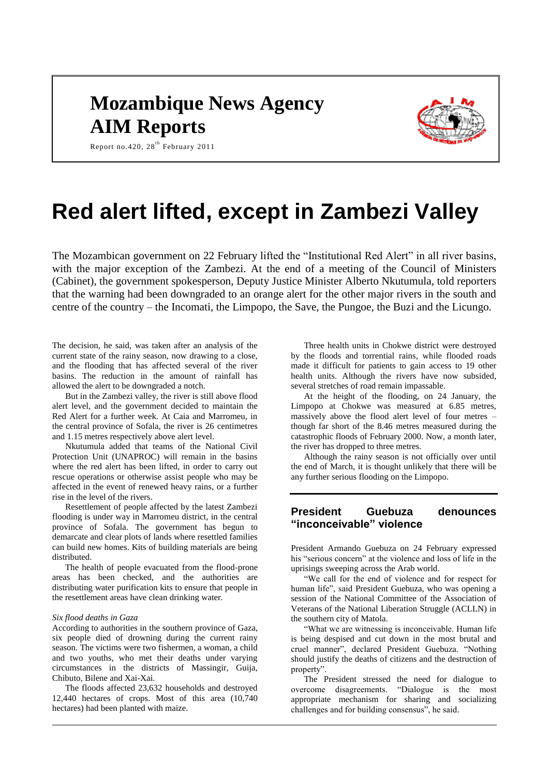# **Mozambique News Agency AIM Reports**



Report no. 420,  $28^{th}$  February 2011

# **Red alert lifted, except in Zambezi Valley**

The Mozambican government on 22 February lifted the "Institutional Red Alert" in all river basins, with the major exception of the Zambezi. At the end of a meeting of the Council of Ministers (Cabinet), the government spokesperson, Deputy Justice Minister Alberto Nkutumula, told reporters that the warning had been downgraded to an orange alert for the other major rivers in the south and centre of the country – the Incomati, the Limpopo, the Save, the Pungoe, the Buzi and the Licungo.

The decision, he said, was taken after an analysis of the current state of the rainy season, now drawing to a close, and the flooding that has affected several of the river basins. The reduction in the amount of rainfall has allowed the alert to be downgraded a notch.

But in the Zambezi valley, the river is still above flood alert level, and the government decided to maintain the Red Alert for a further week. At Caia and Marromeu, in the central province of Sofala, the river is 26 centimetres and 1.15 metres respectively above alert level.

Nkutumula added that teams of the National Civil Protection Unit (UNAPROC) will remain in the basins where the red alert has been lifted, in order to carry out rescue operations or otherwise assist people who may be affected in the event of renewed heavy rains, or a further rise in the level of the rivers.

Resettlement of people affected by the latest Zambezi flooding is under way in Marromeu district, in the central province of Sofala. The government has begun to demarcate and clear plots of lands where resettled families can build new homes. Kits of building materials are being distributed.

The health of people evacuated from the flood-prone areas has been checked, and the authorities are distributing water purification kits to ensure that people in the resettlement areas have clean drinking water.

#### *Six flood deaths in Gaza*

According to authorities in the southern province of Gaza, six people died of drowning during the current rainy season. The victims were two fishermen, a woman, a child and two youths, who met their deaths under varying circumstances in the districts of Massingir, Guija, Chibuto, Bilene and Xai-Xai.

The floods affected 23,632 households and destroyed 12,440 hectares of crops. Most of this area (10,740 hectares) had been planted with maize.

Three health units in Chokwe district were destroyed by the floods and torrential rains, while flooded roads made it difficult for patients to gain access to 19 other health units. Although the rivers have now subsided, several stretches of road remain impassable.

At the height of the flooding, on 24 January, the Limpopo at Chokwe was measured at 6.85 metres, massively above the flood alert level of four metres – though far short of the 8.46 metres measured during the catastrophic floods of February 2000. Now, a month later, the river has dropped to three metres.

Although the rainy season is not officially over until the end of March, it is thought unlikely that there will be any further serious flooding on the Limpopo.

# **President Guebuza denounces "inconceivable" violence**

President Armando Guebuza on 24 February expressed his "serious concern" at the violence and loss of life in the uprisings sweeping across the Arab world.

"We call for the end of violence and for respect for human life", said President Guebuza, who was opening a session of the National Committee of the Association of Veterans of the National Liberation Struggle (ACLLN) in the southern city of Matola.

"What we are witnessing is inconceivable. Human life is being despised and cut down in the most brutal and cruel manner", declared President Guebuza. "Nothing should justify the deaths of citizens and the destruction of property".

The President stressed the need for dialogue to overcome disagreements. "Dialogue is the most appropriate mechanism for sharing and socializing challenges and for building consensus", he said.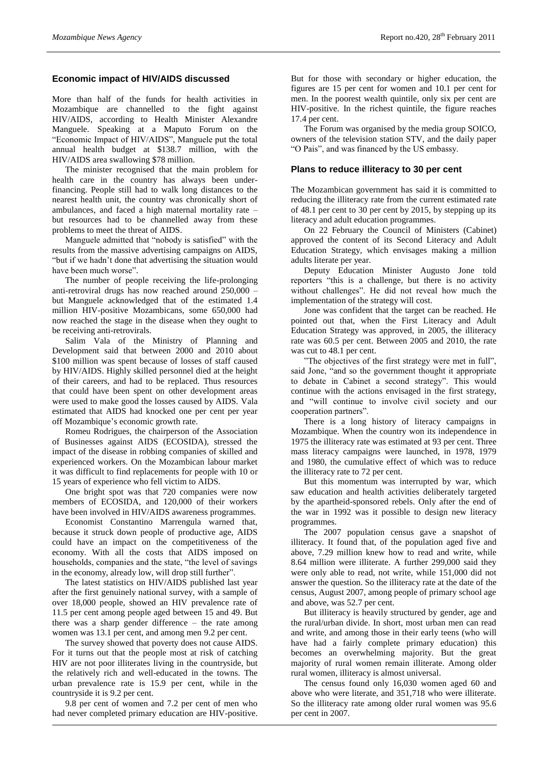# **Economic impact of HIV/AIDS discussed**

More than half of the funds for health activities in Mozambique are channelled to the fight against HIV/AIDS, according to Health Minister Alexandre Manguele. Speaking at a Maputo Forum on the "Economic Impact of HIV/AIDS", Manguele put the total annual health budget at \$138.7 million, with the HIV/AIDS area swallowing \$78 million.

The minister recognised that the main problem for health care in the country has always been underfinancing. People still had to walk long distances to the nearest health unit, the country was chronically short of ambulances, and faced a high maternal mortality rate – but resources had to be channelled away from these problems to meet the threat of AIDS.

Manguele admitted that "nobody is satisfied" with the results from the massive advertising campaigns on AIDS, "but if we hadn't done that advertising the situation would have been much worse".

The number of people receiving the life-prolonging anti-retroviral drugs has now reached around 250,000 – but Manguele acknowledged that of the estimated 1.4 million HIV-positive Mozambicans, some 650,000 had now reached the stage in the disease when they ought to be receiving anti-retrovirals.

Salim Vala of the Ministry of Planning and Development said that between 2000 and 2010 about \$100 million was spent because of losses of staff caused by HIV/AIDS. Highly skilled personnel died at the height of their careers, and had to be replaced. Thus resources that could have been spent on other development areas were used to make good the losses caused by AIDS. Vala estimated that AIDS had knocked one per cent per year off Mozambique's economic growth rate.

Romeu Rodrigues, the chairperson of the Association of Businesses against AIDS (ECOSIDA), stressed the impact of the disease in robbing companies of skilled and experienced workers. On the Mozambican labour market it was difficult to find replacements for people with 10 or 15 years of experience who fell victim to AIDS.

One bright spot was that 720 companies were now members of ECOSIDA, and 120,000 of their workers have been involved in HIV/AIDS awareness programmes.

Economist Constantino Marrengula warned that, because it struck down people of productive age, AIDS could have an impact on the competitiveness of the economy. With all the costs that AIDS imposed on households, companies and the state, "the level of savings in the economy, already low, will drop still further".

The latest statistics on HIV/AIDS published last year after the first genuinely national survey, with a sample of over 18,000 people, showed an HIV prevalence rate of 11.5 per cent among people aged between 15 and 49. But there was a sharp gender difference – the rate among women was 13.1 per cent, and among men 9.2 per cent.

The survey showed that poverty does not cause AIDS. For it turns out that the people most at risk of catching HIV are not poor illiterates living in the countryside, but the relatively rich and well-educated in the towns. The urban prevalence rate is 15.9 per cent, while in the countryside it is 9.2 per cent.

9.8 per cent of women and 7.2 per cent of men who had never completed primary education are HIV-positive.

But for those with secondary or higher education, the figures are 15 per cent for women and 10.1 per cent for men. In the poorest wealth quintile, only six per cent are HIV-positive. In the richest quintile, the figure reaches 17.4 per cent.

The Forum was organised by the media group SOICO, owners of the television station STV, and the daily paper "O Pais", and was financed by the US embassy.

#### **Plans to reduce illiteracy to 30 per cent**

The Mozambican government has said it is committed to reducing the illiteracy rate from the current estimated rate of 48.1 per cent to 30 per cent by 2015, by stepping up its literacy and adult education programmes.

On 22 February the Council of Ministers (Cabinet) approved the content of its Second Literacy and Adult Education Strategy, which envisages making a million adults literate per year.

Deputy Education Minister Augusto Jone told reporters "this is a challenge, but there is no activity without challenges". He did not reveal how much the implementation of the strategy will cost.

Jone was confident that the target can be reached. He pointed out that, when the First Literacy and Adult Education Strategy was approved, in 2005, the illiteracy rate was 60.5 per cent. Between 2005 and 2010, the rate was cut to 48.1 per cent.

"The objectives of the first strategy were met in full", said Jone, "and so the government thought it appropriate to debate in Cabinet a second strategy". This would continue with the actions envisaged in the first strategy, and "will continue to involve civil society and our cooperation partners".

There is a long history of literacy campaigns in Mozambique. When the country won its independence in 1975 the illiteracy rate was estimated at 93 per cent. Three mass literacy campaigns were launched, in 1978, 1979 and 1980, the cumulative effect of which was to reduce the illiteracy rate to 72 per cent.

But this momentum was interrupted by war, which saw education and health activities deliberately targeted by the apartheid-sponsored rebels. Only after the end of the war in 1992 was it possible to design new literacy programmes.

The 2007 population census gave a snapshot of illiteracy. It found that, of the population aged five and above, 7.29 million knew how to read and write, while 8.64 million were illiterate. A further 299,000 said they were only able to read, not write, while 151,000 did not answer the question. So the illiteracy rate at the date of the census, August 2007, among people of primary school age and above, was 52.7 per cent.

But illiteracy is heavily structured by gender, age and the rural/urban divide. In short, most urban men can read and write, and among those in their early teens (who will have had a fairly complete primary education) this becomes an overwhelming majority. But the great majority of rural women remain illiterate. Among older rural women, illiteracy is almost universal.

The census found only 16,030 women aged 60 and above who were literate, and 351,718 who were illiterate. So the illiteracy rate among older rural women was 95.6 per cent in 2007.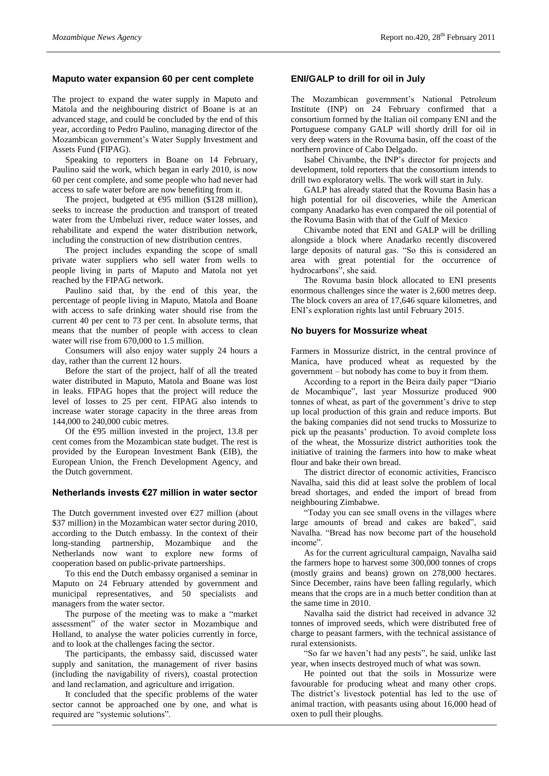#### **Maputo water expansion 60 per cent complete**

The project to expand the water supply in Maputo and Matola and the neighbouring district of Boane is at an advanced stage, and could be concluded by the end of this year, according to Pedro Paulino, managing director of the Mozambican government's Water Supply Investment and Assets Fund (FIPAG).

Speaking to reporters in Boane on 14 February, Paulino said the work, which began in early 2010, is now 60 per cent complete, and some people who had never had access to safe water before are now benefiting from it.

The project, budgeted at  $\epsilon$ 95 million (\$128 million), seeks to increase the production and transport of treated water from the Umbeluzi river, reduce water losses, and rehabilitate and expend the water distribution network, including the construction of new distribution centres.

The project includes expanding the scope of small private water suppliers who sell water from wells to people living in parts of Maputo and Matola not yet reached by the FIPAG network.

Paulino said that, by the end of this year, the percentage of people living in Maputo, Matola and Boane with access to safe drinking water should rise from the current 40 per cent to 73 per cent. In absolute terms, that means that the number of people with access to clean water will rise from 670,000 to 1.5 million.

Consumers will also enjoy water supply 24 hours a day, rather than the current 12 hours.

Before the start of the project, half of all the treated water distributed in Maputo, Matola and Boane was lost in leaks. FIPAG hopes that the project will reduce the level of losses to 25 per cent. FIPAG also intends to increase water storage capacity in the three areas from 144,000 to 240,000 cubic metres.

Of the  $E$ 95 million invested in the project, 13.8 per cent comes from the Mozambican state budget. The rest is provided by the European Investment Bank (EIB), the European Union, the French Development Agency, and the Dutch government.

#### **Netherlands invests €27 million in water sector**

The Dutch government invested over  $E27$  million (about \$37 million) in the Mozambican water sector during 2010, according to the Dutch embassy. In the context of their long-standing partnership, Mozambique and the Netherlands now want to explore new forms of cooperation based on public-private partnerships.

To this end the Dutch embassy organised a seminar in Maputo on 24 February attended by government and municipal representatives, and 50 specialists and managers from the water sector.

The purpose of the meeting was to make a "market assessment" of the water sector in Mozambique and Holland, to analyse the water policies currently in force, and to look at the challenges facing the sector.

The participants, the embassy said, discussed water supply and sanitation, the management of river basins (including the navigability of rivers), coastal protection and land reclamation, and agriculture and irrigation.

It concluded that the specific problems of the water sector cannot be approached one by one, and what is required are "systemic solutions".

# **ENI/GALP to drill for oil in July**

The Mozambican government's National Petroleum Institute (INP) on 24 February confirmed that a consortium formed by the Italian oil company ENI and the Portuguese company GALP will shortly drill for oil in very deep waters in the Rovuma basin, off the coast of the northern province of Cabo Delgado.

Isabel Chivambe, the INP's director for projects and development, told reporters that the consortium intends to drill two exploratory wells. The work will start in July.

GALP has already stated that the Rovuma Basin has a high potential for oil discoveries, while the American company Anadarko has even compared the oil potential of the Rovuma Basin with that of the Gulf of Mexico

Chivambe noted that ENI and GALP will be drilling alongside a block where Anadarko recently discovered large deposits of natural gas. "So this is considered an area with great potential for the occurrence of hydrocarbons", she said.

The Rovuma basin block allocated to ENI presents enormous challenges since the water is 2,600 metres deep. The block covers an area of 17,646 square kilometres, and ENI's exploration rights last until February 2015.

#### **No buyers for Mossurize wheat**

Farmers in Mossurize district, in the central province of Manica, have produced wheat as requested by the government – but nobody has come to buy it from them.

According to a report in the Beira daily paper "Diario de Mocambique", last year Mossurize produced 900 tonnes of wheat, as part of the government's drive to step up local production of this grain and reduce imports. But the baking companies did not send trucks to Mossurize to pick up the peasants' production. To avoid complete loss of the wheat, the Mossurize district authorities took the initiative of training the farmers into how to make wheat flour and bake their own bread.

The district director of economic activities, Francisco Navalha, said this did at least solve the problem of local bread shortages, and ended the import of bread from neighbouring Zimbabwe.

"Today you can see small ovens in the villages where large amounts of bread and cakes are baked", said Navalha. "Bread has now become part of the household income".

As for the current agricultural campaign, Navalha said the farmers hope to harvest some 300,000 tonnes of crops (mostly grains and beans) grown on 278,000 hectares. Since December, rains have been falling regularly, which means that the crops are in a much better condition than at the same time in 2010.

Navalha said the district had received in advance 32 tonnes of improved seeds, which were distributed free of charge to peasant farmers, with the technical assistance of rural extensionists.

"So far we haven't had any pests", he said, unlike last year, when insects destroyed much of what was sown.

He pointed out that the soils in Mossurize were favourable for producing wheat and many other crops. The district's livestock potential has led to the use of animal traction, with peasants using about 16,000 head of oxen to pull their ploughs.